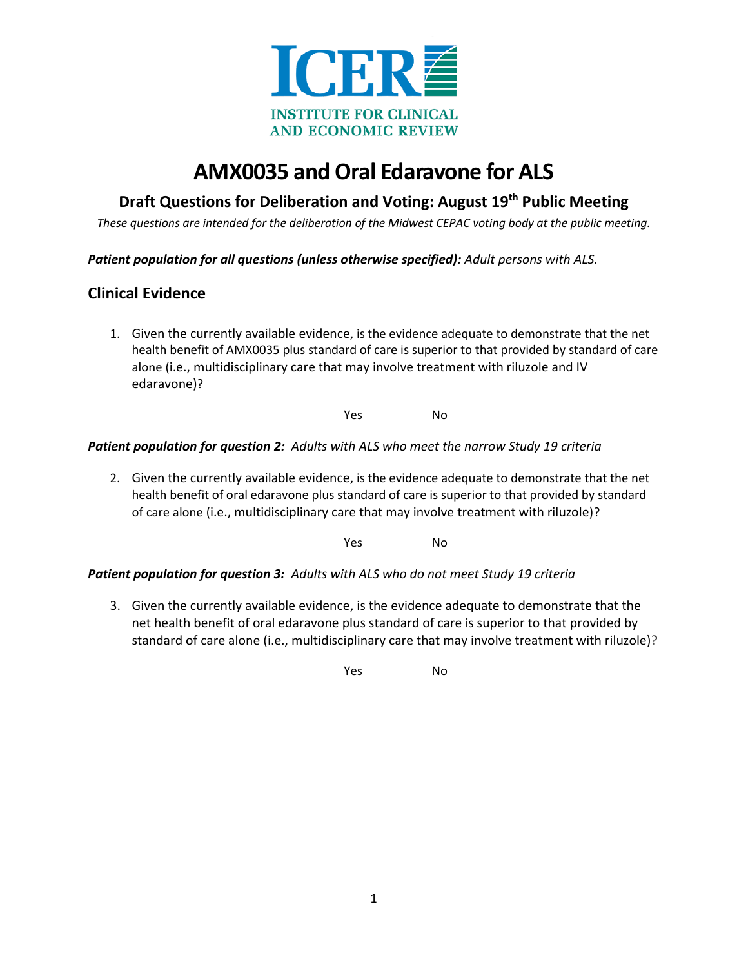

# **AMX0035 and Oral Edaravone for ALS**

# **Draft Questions for Deliberation and Voting: August 19th Public Meeting**

*These questions are intended for the deliberation of the Midwest CEPAC voting body at the public meeting.*

*Patient population for all questions (unless otherwise specified): Adult persons with ALS.* 

## **Clinical Evidence**

1. Given the currently available evidence, is the evidence adequate to demonstrate that the net health benefit of AMX0035 plus standard of care is superior to that provided by standard of care alone (i.e., multidisciplinary care that may involve treatment with riluzole and IV edaravone)?

Yes No

#### *Patient population for question 2: Adults with ALS who meet the narrow Study 19 criteria*

2. Given the currently available evidence, is the evidence adequate to demonstrate that the net health benefit of oral edaravone plus standard of care is superior to that provided by standard of care alone (i.e., multidisciplinary care that may involve treatment with riluzole)?

Yes No

#### *Patient population for question 3: Adults with ALS who do not meet Study 19 criteria*

3. Given the currently available evidence, is the evidence adequate to demonstrate that the net health benefit of oral edaravone plus standard of care is superior to that provided by standard of care alone (i.e., multidisciplinary care that may involve treatment with riluzole)?

Yes No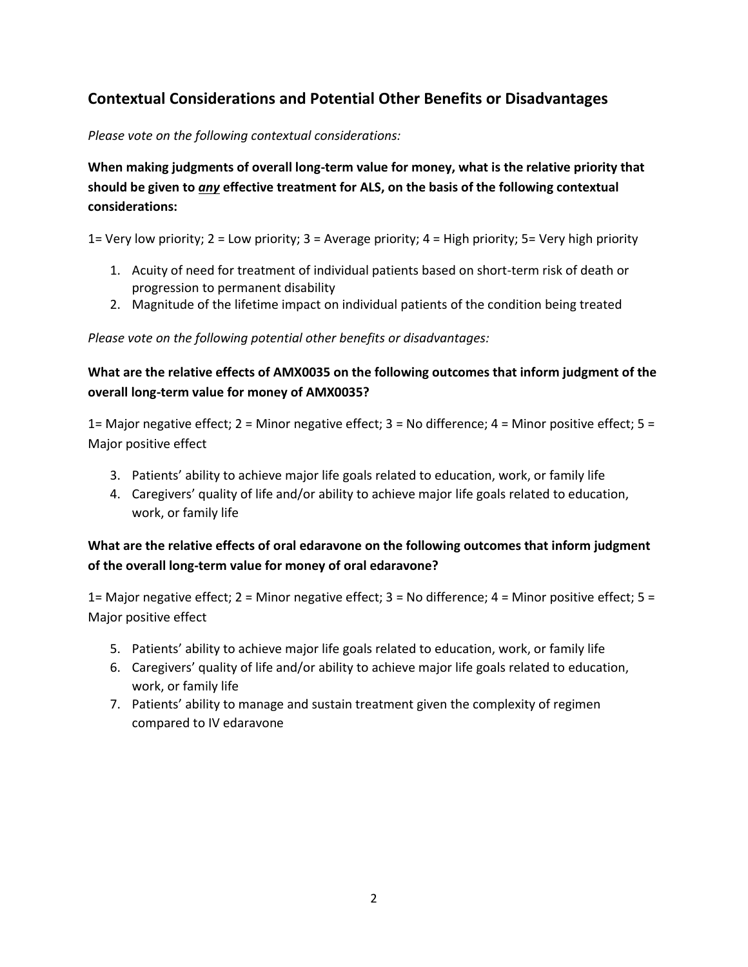# **Contextual Considerations and Potential Other Benefits or Disadvantages**

*Please vote on the following contextual considerations:* 

**When making judgments of overall long-term value for money, what is the relative priority that should be given to** *any* **effective treatment for ALS, on the basis of the following contextual considerations:** 

1= Very low priority; 2 = Low priority; 3 = Average priority; 4 = High priority; 5= Very high priority

- 1. Acuity of need for treatment of individual patients based on short-term risk of death or progression to permanent disability
- 2. Magnitude of the lifetime impact on individual patients of the condition being treated

*Please vote on the following potential other benefits or disadvantages:* 

### **What are the relative effects of AMX0035 on the following outcomes that inform judgment of the overall long-term value for money of AMX0035?**

1= Major negative effect; 2 = Minor negative effect; 3 = No difference; 4 = Minor positive effect; 5 = Major positive effect

- 3. Patients' ability to achieve major life goals related to education, work, or family life
- 4. Caregivers' quality of life and/or ability to achieve major life goals related to education, work, or family life

### **What are the relative effects of oral edaravone on the following outcomes that inform judgment of the overall long-term value for money of oral edaravone?**

1= Major negative effect; 2 = Minor negative effect; 3 = No difference; 4 = Minor positive effect; 5 = Major positive effect

- 5. Patients' ability to achieve major life goals related to education, work, or family life
- 6. Caregivers' quality of life and/or ability to achieve major life goals related to education, work, or family life
- 7. Patients' ability to manage and sustain treatment given the complexity of regimen compared to IV edaravone